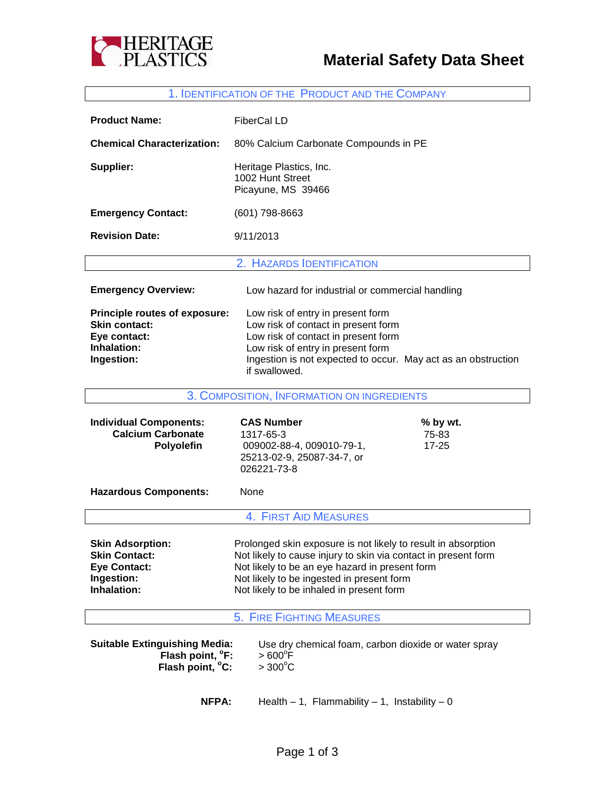



## 1. IDENTIFICATION OF THE PRODUCT AND THE COMPANY

| <b>Product Name:</b>                                                                                | <b>FiberCal LD</b>                                                                                                                                                                                                                                                         |  |
|-----------------------------------------------------------------------------------------------------|----------------------------------------------------------------------------------------------------------------------------------------------------------------------------------------------------------------------------------------------------------------------------|--|
| <b>Chemical Characterization:</b>                                                                   | 80% Calcium Carbonate Compounds in PE                                                                                                                                                                                                                                      |  |
| Supplier:                                                                                           | Heritage Plastics, Inc.<br>1002 Hunt Street<br>Picayune, MS 39466                                                                                                                                                                                                          |  |
| <b>Emergency Contact:</b>                                                                           | $(601)$ 798-8663                                                                                                                                                                                                                                                           |  |
| <b>Revision Date:</b>                                                                               | 9/11/2013                                                                                                                                                                                                                                                                  |  |
|                                                                                                     | 2. HAZARDS IDENTIFICATION                                                                                                                                                                                                                                                  |  |
| <b>Emergency Overview:</b>                                                                          | Low hazard for industrial or commercial handling                                                                                                                                                                                                                           |  |
| Principle routes of exposure:<br><b>Skin contact:</b><br>Eye contact:<br>Inhalation:<br>Ingestion:  | Low risk of entry in present form<br>Low risk of contact in present form<br>Low risk of contact in present form<br>Low risk of entry in present form<br>Ingestion is not expected to occur. May act as an obstruction<br>if swallowed.                                     |  |
|                                                                                                     | 3. COMPOSITION, INFORMATION ON INGREDIENTS                                                                                                                                                                                                                                 |  |
|                                                                                                     |                                                                                                                                                                                                                                                                            |  |
| <b>Individual Components:</b><br><b>Calcium Carbonate</b><br>Polyolefin                             | <b>CAS Number</b><br>% by wt.<br>1317-65-3<br>75-83<br>009002-88-4, 009010-79-1,<br>$17 - 25$<br>25213-02-9, 25087-34-7, or<br>026221-73-8                                                                                                                                 |  |
| <b>Hazardous Components:</b>                                                                        | None                                                                                                                                                                                                                                                                       |  |
|                                                                                                     | 4. FIRST AID MEASURES                                                                                                                                                                                                                                                      |  |
| <b>Skin Adsorption:</b><br><b>Skin Contact:</b><br><b>Eye Contact:</b><br>Ingestion:<br>Inhalation: | Prolonged skin exposure is not likely to result in absorption<br>Not likely to cause injury to skin via contact in present form<br>Not likely to be an eye hazard in present form<br>Not likely to be ingested in present form<br>Not likely to be inhaled in present form |  |
|                                                                                                     | <b>5. FIRE FIGHTING MEASURES</b>                                                                                                                                                                                                                                           |  |
| <b>Suitable Extinguishing Media:</b><br>Flash point, °F:<br>Flash point, °C:                        | Use dry chemical foam, carbon dioxide or water spray<br>$>600^{\circ}$ F<br>$>300^{\circ}$ C                                                                                                                                                                               |  |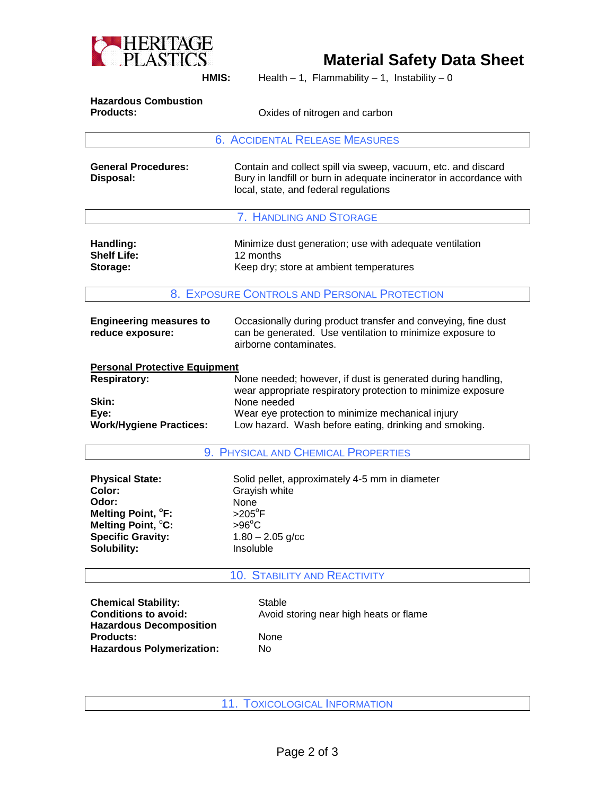

## **Material Safety Data Sheet**

**HMIS:** Health – 1, Flammability – 1, Instability – 0

| <b>Hazardous Combustion</b> |                               |
|-----------------------------|-------------------------------|
| <b>Products:</b>            | Oxides of nitrogen and carbon |
|                             |                               |

6. ACCIDENTAL RELEASE MEASURES

| <b>General Procedures:</b> | Contain and collect spill via sweep, vacuum, etc. and discard       |  |
|----------------------------|---------------------------------------------------------------------|--|
| Disposal:                  | Bury in landfill or burn in adequate incinerator in accordance with |  |
|                            | local, state, and federal regulations                               |  |

7. HANDLING AND STORAGE

| Handling:          | Minimize dust generation; use with adequate ventilation |
|--------------------|---------------------------------------------------------|
| <b>Shelf Life:</b> | 12 months                                               |
| Storage:           | Keep dry; store at ambient temperatures                 |

8. EXPOSURE CONTROLS AND PERSONAL PROTECTION

| <b>Engineering measures to</b><br>reduce exposure: | Occasionally during product transfer and conveying, fine dust<br>can be generated. Use ventilation to minimize exposure to<br>airborne contaminates. |
|----------------------------------------------------|------------------------------------------------------------------------------------------------------------------------------------------------------|
| <b>Personal Protective Equipment</b>               |                                                                                                                                                      |
| <b>Respiratory:</b>                                | None needed; however, if dust is generated during handling,<br>wear appropriate respiratory protection to minimize exposure                          |
| Skin:                                              | None needed                                                                                                                                          |
| Eye:                                               | Wear eye protection to minimize mechanical injury                                                                                                    |
|                                                    |                                                                                                                                                      |

**Work/Hygiene Practices:** Low hazard. Wash before eating, drinking and smoking.

9. PHYSICAL AND CHEMICAL PROPERTIES

| <b>Physical State:</b>         | Solid pellet, approximately 4-5 mm in diameter |
|--------------------------------|------------------------------------------------|
| Color:                         | Grayish white                                  |
| Odor:                          | None                                           |
| Melting Point, <sup>o</sup> F: | $>205^\circ F$                                 |
| Melting Point, <sup>°</sup> C: | $>96^{\circ}$ C                                |
| <b>Specific Gravity:</b>       | $1.80 - 2.05$ g/cc                             |
| Solubility:                    | Insoluble                                      |

## 10. STABILITY AND REACTIVITY

**Chemical Stability:** Stable<br> **Conditions to avoid:** Avoid s **Hazardous Decomposition** Products: None **Hazardous Polymerization:** No

Avoid storing near high heats or flame

11. TOXICOLOGICAL INFORMATION